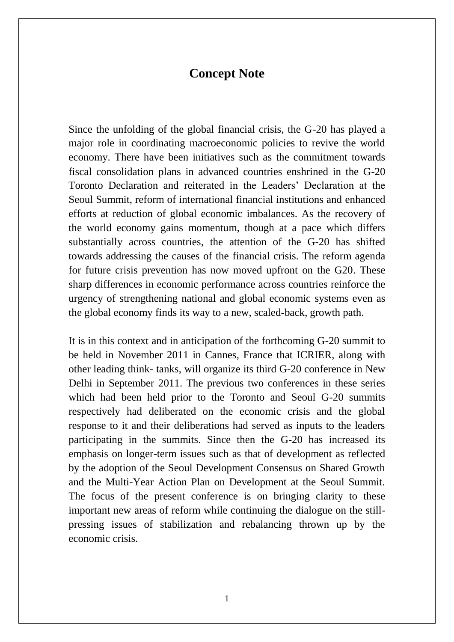## **Concept Note**

Since the unfolding of the global financial crisis, the G-20 has played a major role in coordinating macroeconomic policies to revive the world economy. There have been initiatives such as the commitment towards fiscal consolidation plans in advanced countries enshrined in the G-20 Toronto Declaration and reiterated in the Leaders' Declaration at the Seoul Summit, reform of international financial institutions and enhanced efforts at reduction of global economic imbalances. As the recovery of the world economy gains momentum, though at a pace which differs substantially across countries, the attention of the G-20 has shifted towards addressing the causes of the financial crisis. The reform agenda for future crisis prevention has now moved upfront on the G20. These sharp differences in economic performance across countries reinforce the urgency of strengthening national and global economic systems even as the global economy finds its way to a new, scaled-back, growth path.

It is in this context and in anticipation of the forthcoming G-20 summit to be held in November 2011 in Cannes, France that ICRIER, along with other leading think- tanks, will organize its third G-20 conference in New Delhi in September 2011. The previous two conferences in these series which had been held prior to the Toronto and Seoul G-20 summits respectively had deliberated on the economic crisis and the global response to it and their deliberations had served as inputs to the leaders participating in the summits. Since then the G-20 has increased its emphasis on longer-term issues such as that of development as reflected by the adoption of the Seoul Development Consensus on Shared Growth and the Multi-Year Action Plan on Development at the Seoul Summit. The focus of the present conference is on bringing clarity to these important new areas of reform while continuing the dialogue on the stillpressing issues of stabilization and rebalancing thrown up by the economic crisis.